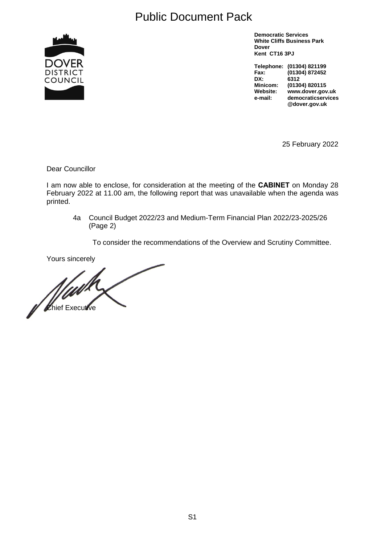# Public Document Pack



**Democratic Services White Cliffs Business Park Dover Kent CT16 3PJ**

**Telephone: (01304) 821199 Fax: (01304) 872452 DX: 6312 Minicom: (01304) 820115 Website: www.dover.gov.uk e-mail: democraticservices @dover.gov.uk**

25 February 2022

Dear Councillor

I am now able to enclose, for consideration at the meeting of the **CABINET** on Monday 28 February 2022 at 11.00 am, the following report that was unavailable when the agenda was printed.

4a Council Budget 2022/23 and Medium-Term Financial Plan 2022/23-2025/26 (Page 2)

To consider the recommendations of the Overview and Scrutiny Committee.

Yours sincerely

of Chief Executive